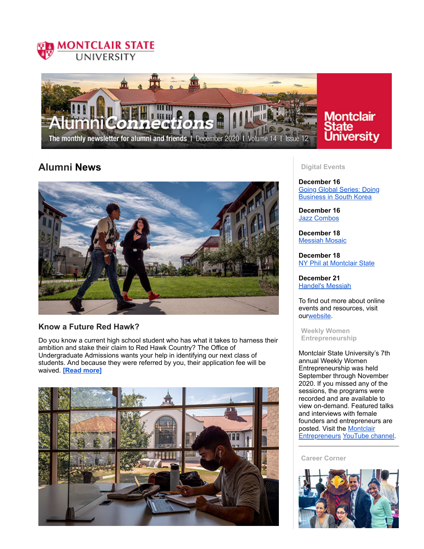



# Montclair ate **University**

# **Alumni News**



## **Know a Future Red Hawk?**

Do you know a current high school student who has what it takes to harness their ambition and stake their claim to Red Hawk Country? The Office of Undergraduate Admissions wants your help in identifying our next class of students. And because they were referred by you, their application fee will be waived. **[Read [more\]](https://montclairconnect.org/page.redir?target=https%3a%2f%2fwww.montclair.edu%2falumni%2f2020%2f12%2f15%2fknow-a-future-red-hawk%2f&srcid=37651&srctid=1&erid=40433303&trid=00b0c3a4-b7dd-4c0d-8097-76b19a02cf18)**



### **Digital Events**

**December 16** Going Global Series: Doing [Business](https://montclairconnect.org/page.redir?target=https%3a%2f%2fmontclairconnect.org%2fget-involved%2fevent-detail%3fcid%3d6%26ceid%3d2211%26cerid%3d0%26cdt%3d12%252f16%252f2020&srcid=37651&srctid=1&erid=40433303&trid=00b0c3a4-b7dd-4c0d-8097-76b19a02cf18) in South Korea

**December 16** Jazz [Combos](https://montclairconnect.org/page.redir?target=https%3a%2f%2fwww.montclair.edu%2fjohn-j-cali-school-of-music%2fcali-live%2f&srcid=37651&srctid=1&erid=40433303&trid=00b0c3a4-b7dd-4c0d-8097-76b19a02cf18)

**December 18** [Messiah](https://montclairconnect.org/page.redir?target=https%3a%2f%2fwww.montclair.edu%2fcalendar%2fview-event.php%3fid%3d73042&srcid=37651&srctid=1&erid=40433303&trid=00b0c3a4-b7dd-4c0d-8097-76b19a02cf18) Mosaic

**December 18** NY Phil at [Montclair](https://montclairconnect.org/page.redir?target=https%3a%2f%2fmontclairconnect.org%2fget-involved%2fevent-calendar%3fcid%3d6%26ceid%3d2222%26cerid%3d0%26cdt%3d12%252f18%252f2020&srcid=37651&srctid=1&erid=40433303&trid=00b0c3a4-b7dd-4c0d-8097-76b19a02cf18) State

**December 21** [Handel's](https://montclairconnect.org/page.redir?target=https%3a%2f%2fmontclairconnect.org%2fget-involved%2fevent-calendar%3fcid%3d6%26ceid%3d2223%26cerid%3d0%26cdt%3d12%252f21%252f2020&srcid=37651&srctid=1&erid=40433303&trid=00b0c3a4-b7dd-4c0d-8097-76b19a02cf18) Messiah

To find out more about online events and resources, visit ou[rwebsite](https://montclairconnect.org/page.redir?target=https%3a%2f%2fwww.montclair.edu%2falumni%2fonline-programs%2f&srcid=37651&srctid=1&erid=40433303&trid=00b0c3a4-b7dd-4c0d-8097-76b19a02cf18).

**Weekly Women Entrepreneurship**

Montclair State University's 7th annual Weekly Women Entrepreneurship was held September through November 2020. If you missed any of the sessions, the programs were recorded and are available to view on-demand. Featured talks and interviews with female founders and entrepreneurs are posted. Visit the Montclair [Entrepreneurs](https://montclairconnect.org/page.redir?target=https%3a%2f%2fwww.meetup.com%2fMontclair-Entrepreneurs%2f&srcid=37651&srctid=1&erid=40433303&trid=00b0c3a4-b7dd-4c0d-8097-76b19a02cf18) [YouTube](https://montclairconnect.org/page.redir?target=https%3a%2f%2fwww.youtube.com%2fuser%2fFelicianoCenter&srcid=37651&srctid=1&erid=40433303&trid=00b0c3a4-b7dd-4c0d-8097-76b19a02cf18) channel.

**Career Corner**

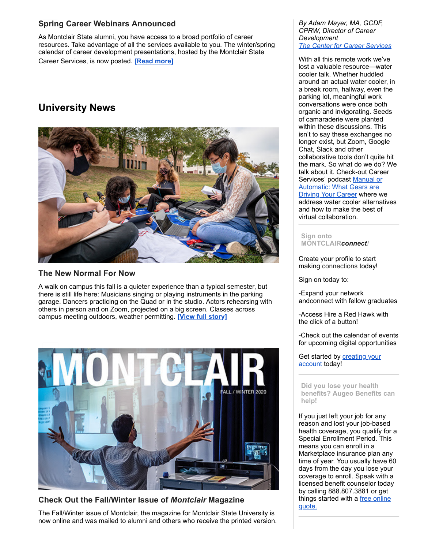## **Spring Career Webinars Announced**

As Montclair State alumni, you have access to a broad portfolio of career resources. Take advantage of all the services available to you. The winter/spring calendar of career development presentations, hosted by the Montclair State Career Services, is now posted. **[Read [more\]](https://montclairconnect.org/page.redir?target=https%3a%2f%2fwww.montclair.edu%2falumni%2f2020%2f12%2f15%2fspring-webinars-announced%2f&srcid=37651&srctid=1&erid=40433303&trid=00b0c3a4-b7dd-4c0d-8097-76b19a02cf18)**

# **University News**



## **The New Normal For Now**

A walk on campus this fall is a quieter experience than a typical semester, but there is still life here: Musicians singing or playing instruments in the parking garage. Dancers practicing on the Quad or in the studio. Actors rehearsing with others in person and on Zoom, projected on a big screen. Classes across campus meeting outdoors, weather permitting. **[View full [story\]](https://montclairconnect.org/page.redir?target=https%3a%2f%2fwww.montclair.edu%2fmagazine%2ffall-winter-2020%2fthe-new-normal-for-now%2f&srcid=37651&srctid=1&erid=40433303&trid=00b0c3a4-b7dd-4c0d-8097-76b19a02cf18)**



## **Check Out the Fall/Winter Issue of** *Montclair* **Magazine**

The Fall/Winter issue of Montclair, the magazine for Montclair State University is now online and was mailed to alumni and others who receive the printed version.

*By Adam Mayer, MA, GCDF, CPRW, Director of Career Development The Center for Career [Services](https://montclairconnect.org/page.redir?target=https%3a%2f%2fwww.montclair.edu%2fcareer-services%2f&srcid=37651&srctid=1&erid=40433303&trid=00b0c3a4-b7dd-4c0d-8097-76b19a02cf18)*

With all this remote work we've lost a valuable resource—water cooler talk. Whether huddled around an actual water cooler, in a break room, hallway, even the parking lot, meaningful work conversations were once both organic and invigorating. Seeds of camaraderie were planted within these discussions. This isn't to say these exchanges no longer exist, but Zoom, Google Chat, Slack and other collaborative tools don't quite hit the mark. So what do we do? We talk about it. Check-out Career Services' podcast Manual or [Automatic:](https://montclairconnect.org/page.redir?target=https%3a%2f%2fsoundcloud.com%2fwmsc%2fepisode-30-the-value-of-watercooler-talk%3fin%3dwmsc%2fsets%2fmanual-or-automatic-what-gears&srcid=37651&srctid=1&erid=40433303&trid=00b0c3a4-b7dd-4c0d-8097-76b19a02cf18) What Gears are **Driving Your Career where we** address water cooler alternatives and how to make the best of virtual collaboration.

**Sign onto MONTCLAIR***connect!*

Create your profile to start making connections today!

Sign on today to:

-Expand your network andconnect with fellow graduates

-Access Hire a Red Hawk with the click of a button!

-Check out the calendar of events for upcoming digital opportunities

Get started by [creating](https://montclairconnect.org/page.redir?target=http%3a%2f%2fconnect.montclair.edu&srcid=37651&srctid=1&erid=40433303&trid=00b0c3a4-b7dd-4c0d-8097-76b19a02cf18) your account today!

**Did you lose your health benefits? Augeo Benefits can help!**

If you just left your job for any reason and lost your job-based health coverage, you qualify for a Special Enrollment Period. This means you can enroll in a Marketplace insurance plan any time of year. You usually have 60 days from the day you lose your coverage to enroll. Speak with a licensed benefit counselor today by calling 888.807.3881 or get things [started](https://montclairconnect.org/page.redir?target=http%3a%2f%2fmsuaa.augeobenefits.com&srcid=37651&srctid=1&erid=40433303&trid=00b0c3a4-b7dd-4c0d-8097-76b19a02cf18) with a free online quote.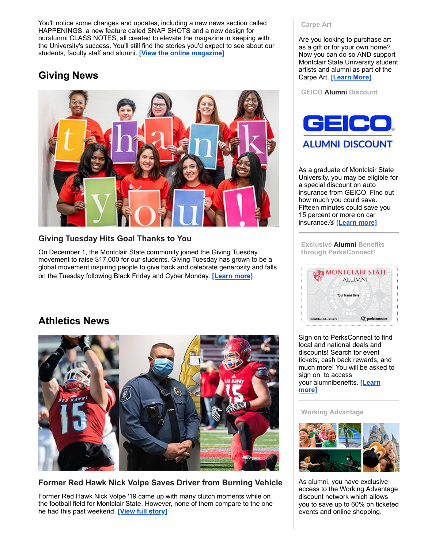You'll notice some changes and updates, including a new news section called HAPPENINGS, a new feature called SNAP SHOTS and a new design for ouralumni CLASS NOTES, all created to elevate the magazine in keeping with the University's success. You'll still find the stories you'd expect to see about our students, faculty staff and alumni. **[View the online [magazine\]](https://montclairconnect.org/page.redir?target=https%3a%2f%2fwww.montclair.edu%2fmagazine%2f%3futm_source%3dmagazine_newsletter%26utm_medium%3demail%26utm_campaign%3dfall_2020&srcid=37651&srctid=1&erid=40433303&trid=00b0c3a4-b7dd-4c0d-8097-76b19a02cf18)**

# **Giving News**



## **Giving Tuesday Hits Goal Thanks to You**

On December 1, the Montclair State community joined the Giving Tuesday movement to raise \$17,000 for our students. Giving Tuesday has grown to be a global movement inspiring people to give back and celebrate generosity and falls on the Tuesday following Black Friday and Cyber Monday. **[\[Learn](https://montclairconnect.org/page.redir?target=https%3a%2f%2fwww.montclair.edu%2falumni%2f2020%2f12%2f15%2fgiving-tuesday-hits-goal-thanks-to-you%2f&srcid=37651&srctid=1&erid=40433303&trid=00b0c3a4-b7dd-4c0d-8097-76b19a02cf18) more]**

# **Athletics News**



**Former Red Hawk Nick Volpe Saves Driver from Burning Vehicle**

Former Red Hawk Nick Volpe '19 came up with many clutch moments while on the football field for Montclair State. However, none of them compare to the one he had this past weekend. **[View full [story\]](https://montclairconnect.org/page.redir?target=https%3a%2f%2fmontclairathletics.com%2fnews%2f2020%2f11%2f24%2ffootball-former-red-hawk-nick-volpe-saves-driver-from-burning-vehicle.aspx&srcid=37651&srctid=1&erid=40433303&trid=00b0c3a4-b7dd-4c0d-8097-76b19a02cf18)**

### **Carpe Art**

Are you looking to purchase art as a gift or for your own home? Now you can do so AND support Montclair State University student artists and alumni as part of the Carpe Art. **[\[Learn](https://montclairconnect.org/page.redir?target=https%3a%2f%2fwww.carpeart.com%2f&srcid=37651&srctid=1&erid=40433303&trid=00b0c3a4-b7dd-4c0d-8097-76b19a02cf18) More]**

**GEICO Alumni Discount**



As a graduate of Montclair State University, you may be eligible for a special discount on auto insurance from GEICO. Find out how much you could save. Fifteen minutes could save you 15 percent or more on car insurance.® **[\[Learn](https://montclairconnect.org/page.redir?target=https%3a%2f%2fwww.geico.com%2flandingpage%2fmember-discount%2f%3flogo%3d17794%26utm_source%3dmontclair-state-university%26utm_medium%3dbanner%26utm_campaign%3dsponsored-alumni&srcid=37651&srctid=1&erid=40433303&trid=00b0c3a4-b7dd-4c0d-8097-76b19a02cf18) more]**

**Exclusive Alumni Benefits through PerksConnect!**



Sign on to PerksConnect to find local and national deals and discounts! Search for event tickets, cash back rewards, and much more! You will be asked to sign on to access your [alumnibenefits.](https://montclairconnect.org/page.redir?target=https%3a%2f%2fwww.montclair.edu%2falumni%2fbenefits-and-services%2fdiscounts-2&srcid=37651&srctid=1&erid=40433303&trid=00b0c3a4-b7dd-4c0d-8097-76b19a02cf18) **[Learn more]**

### **Working Advantage**



As alumni, you have exclusive access to the Working Advantage discount network which allows you to save up to 60% on ticketed events and online shopping.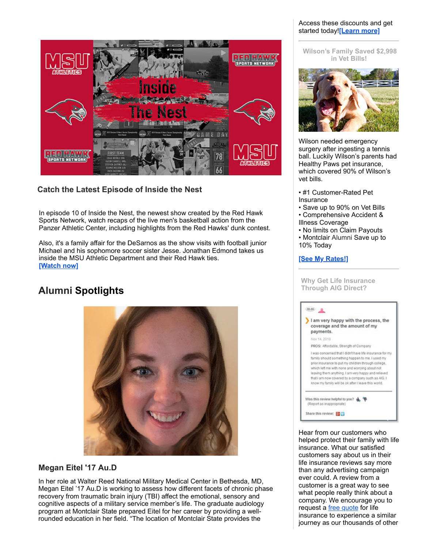# ED WA 78 **ASTROLET DE**

# **Catch the Latest Episode of Inside the Nest**

In episode 10 of Inside the Nest, the newest show created by the Red Hawk Sports Network, watch recaps of the live men's basketball action from the Panzer Athletic Center, including highlights from the Red Hawks' dunk contest.

Also, it's a family affair for the DeSarnos as the show visits with football junior Michael and his sophomore soccer sister Jesse. Jonathan Edmond takes us inside the MSU Athletic Department and their Red Hawk ties. **[\[Watch](https://montclairconnect.org/page.redir?target=https%3a%2f%2fyoutu.be%2fVeG5F_vdo-0&srcid=37651&srctid=1&erid=40433303&trid=00b0c3a4-b7dd-4c0d-8097-76b19a02cf18) now]**

# **Alumni Spotlights**

# **Megan Eitel '17 Au.D**

In her role at Walter Reed National Military Medical Center in Bethesda, MD, Megan Eitel '17 Au.D is working to assess how different facets of chronic phase recovery from traumatic brain injury (TBI) affect the emotional, sensory and cognitive aspects of a military service member's life. The graduate audiology program at Montclair State prepared Eitel for her career by providing a wellrounded education in her field. "The location of Montclair State provides the

### Access these discounts and get started today!**[\[Learn](https://montclairconnect.org/page.redir?target=https%3a%2f%2fwww.montclair.edu%2falumni%2fbenefits-and-services%2fdiscounts-2&srcid=37651&srctid=1&erid=40433303&trid=00b0c3a4-b7dd-4c0d-8097-76b19a02cf18) more]**

**Wilson's Family Saved \$2,998 in Vet Bills!**



Wilson needed emergency surgery after ingesting a tennis ball. Luckily Wilson's parents had Healthy Paws pet insurance, which covered 90% of Wilson's vet bills.

- #1 Customer-Rated Pet Insurance
- Save up to 90% on Vet Bills • Comprehensive Accident &
- Illness Coverage • No limits on Claim Payouts
- Montclair Alumni Save up to 10% Today

## **[See My [Rates!\]](https://montclairconnect.org/page.redir?target=https%3a%2f%2fwww.healthypawspetinsurance.com%2fpethealth%2f%3faffid%3daaisaff%26subid%3dmontclair%26utm_source%3dAAIS%26utm_medium%3dreferral%26utm_campaign%3dmontclair-email-sept-2018&srcid=37651&srctid=1&erid=40433303&trid=00b0c3a4-b7dd-4c0d-8097-76b19a02cf18)**

| I am very happy with the process, the<br>coverage and the amount of my<br>payments.                                                                                                                                                                                                                                                                                                     |
|-----------------------------------------------------------------------------------------------------------------------------------------------------------------------------------------------------------------------------------------------------------------------------------------------------------------------------------------------------------------------------------------|
| Nov 14, 2018                                                                                                                                                                                                                                                                                                                                                                            |
| PROS: Affordable, Strength of Company                                                                                                                                                                                                                                                                                                                                                   |
| I was concerned that I didn't have life insurance for my<br>family should something happen to me. I used my<br>prior insurance to put my children through college.<br>which left me with none and worrying about not<br>leaving them anything. I am very happy and relieved<br>that i am now covered by a company such as AIG. I<br>know my family will be ok after I leave this world. |

Hear from our customers who helped protect their family with life insurance. What our satisfied customers say about us in their life insurance reviews say more than any advertising campaign ever could. A review from a customer is a great way to see what people really think about a company. We encourage you to request a free [quote](https://montclairconnect.org/page.redir?target=https%3a%2f%2fwww.aigdirect.com%2fmontclair%2fprotect-your-family%3fDNIS%3d8252&srcid=37651&srctid=1&erid=40433303&trid=00b0c3a4-b7dd-4c0d-8097-76b19a02cf18) for life insurance to experience a similar journey as our thousands of other